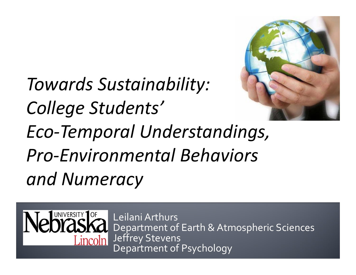

*Eco‐Temporal Understandings, Pro‐Environmental Behaviors and Numeracy*

*Towards Sustainability:*

*College Students'*

Leilani ArthursDepartment of Earth & Atmospheric Sciences Jeffrey Stevens *i*ncoln| Department of Psychology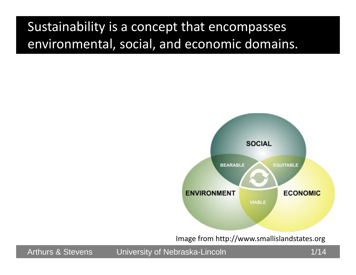### Sustainability is <sup>a</sup> concept that encompasses environmental, social, and economic domains.



Image from http://www.smallislandstates.org

Arthurs & Stevens University of Nebraska-Lincoln **Nebraska-Lincoln** 1/14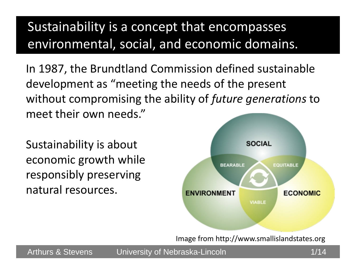## Sustainability is <sup>a</sup> concept that encompasses environmental, social, and economic domains.

In 1987, the Brundtland Commission defined sustainable development as "meeting the needs of the present without compromising the ability of *future generations* to meet their own needs."

Sustainability is about economic growth while responsibly preserving natural resources.



Image from http://www.smallislandstates.org

Arthurs & Stevens buniversity of Nebraska-Lincoln **Arthurs & Stevens** 1/14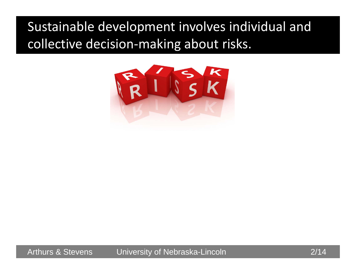## Sustainable development involves individual and collective decision‐making about risks.



Arthurs & Stevens University of Nebraska-Lincoln **Example 2114** 2/14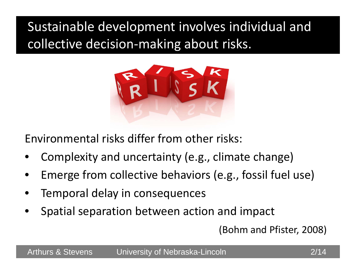# Sustainable development involves individual and collective decision‐making about risks.



Environmental risks differ from other risks:

- •Complexity and uncertainty (e.g., climate change)
- •Emerge from collective behaviors (e.g., fossil fuel use)
- •Temporal delay in consequences
- •Spatial separation between action and impact

(Bohm and Pfister, 2008)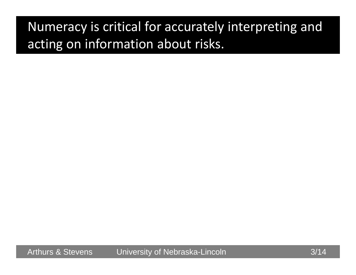## Numeracy is critical for accurately interpreting and acting on information about risks.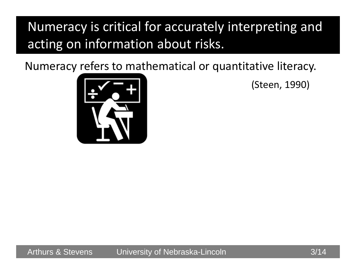## Numeracy is critical for accurately interpreting and acting on information about risks.

Numeracy refers to mathematical or quantitative literacy.



(Steen, 1990)

Arthurs & Stevens University of Nebraska-Lincoln 3/14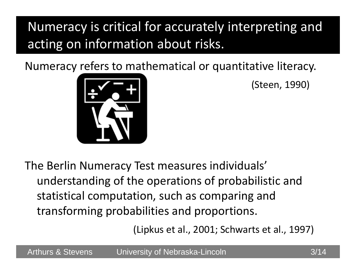# Numeracy is critical for accurately interpreting and acting on information about risks.

Numeracy refers to mathematical or quantitative literacy.



(Steen, 1990)

The Berlin Numeracy Test measures individuals' understanding of the operations of probabilistic and statistical computation, such as comparing and transforming probabilities and proportions.

(Lipkus et al., 2001; Schwarts et al., 1997)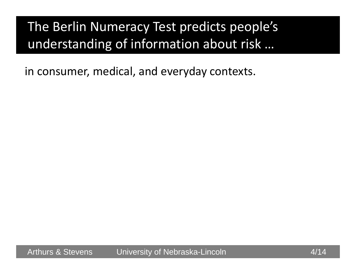## The Berlin Numeracy Test predicts people's understanding of information about risk …

in consumer, medical, and everyday contexts.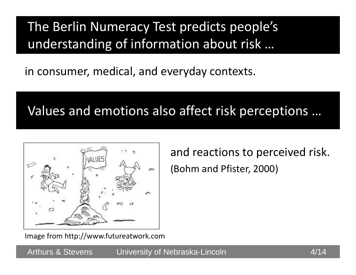### The Berlin Numeracy Test predicts people's understanding of information about risk …

in consumer, medical, and everyday contexts.

#### Values and emotions also affect risk perceptions …



and reactions to perceived risk. (Bohm and Pfister, 2000)

Image from http://www.futureatwork.com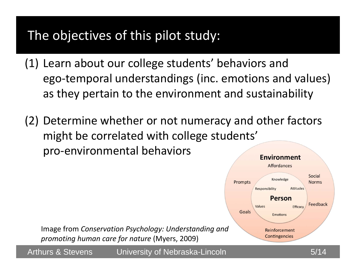#### The objectives of this pilot study:

- (1) Learn about our college students' behaviors and ego‐temporal understandings (inc. emotions and values) as they pertain to the environment and sustainability
- (2) Determine whether or not numeracy and other factors might be correlated with college students' pro‐environmental behaviors **Environment**

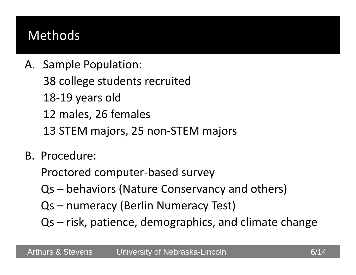#### Methods

- A. Sample Population: 38 college students recruited 18‐19 years old 12 males, 26 females 13 STEM majors, 25 non‐STEM majors
- B. Procedure:

Proctored computer‐based survey

- Qs behaviors (Nature Conservancy and others)
- Qs numeracy (Berlin Numeracy Test)
- Qs risk, patience, demographics, and climate change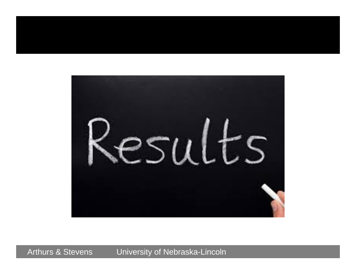![](_page_12_Picture_0.jpeg)

Arthurs & Stevens University of Nebraska-Lincoln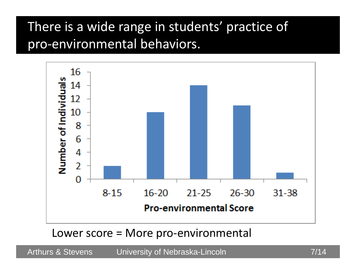#### There is <sup>a</sup> wide range in students' practice of pro‐environmental behaviors.

![](_page_13_Figure_1.jpeg)

Lower score <sup>=</sup> More pro‐environmental

Arthurs & Stevens University of Nebraska-Lincoln **Fig. 10. 12-14** 7/14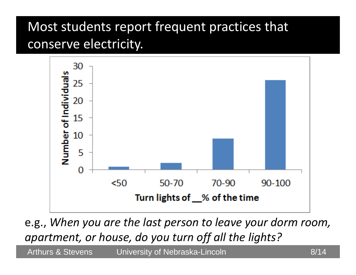### Most students report frequent practices that conserve electricity.

![](_page_14_Figure_1.jpeg)

e.g., *When you are the last person to leave your dorm room, apartment, or house, do you turn off all the lights?*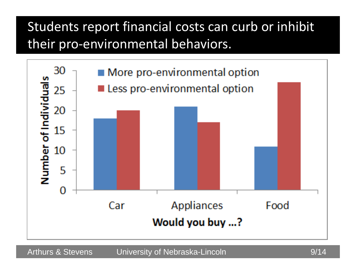## Students report financial costs can curb or inhibit their pro‐environmental behaviors.

![](_page_15_Figure_1.jpeg)

Arthurs & Stevens University of Nebraska-Lincoln **Exercise 19**/14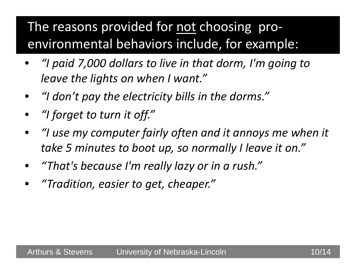## The reasons provided for not choosing proenvironmental behaviors include, for example:

- • *"I paid 7,000 dollars to live in that dorm, I'm going to leave the lights on when I want."*
- *"I don't pay the electricity bills in the dorms."*
- *"I forget to turn it off."*
- $\bullet$  *"I use my computer fairly often and it annoys me when it take 5 minutes to boot up, so normally I leave it on."*
- •*"That's because I'm really lazy or in <sup>a</sup> rush."*
- •*"Tradition, easier to get, cheaper."*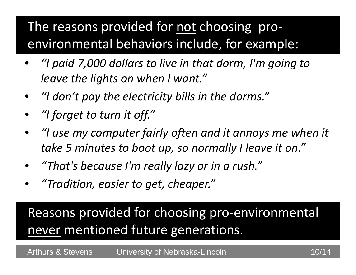## The reasons provided for not choosing proenvironmental behaviors include, for example:

- • *"I paid 7,000 dollars to live in that dorm, I'm going to leave the lights on when I want."*
- •*"I don't pay the electricity bills in the dorms."*
- *"I forget to turn it off."*
- $\bullet$  *"I use my computer fairly often and it annoys me when it take 5 minutes to boot up, so normally I leave it on."*
- •*"That's because I'm really lazy or in <sup>a</sup> rush."*
- •*"Tradition, easier to get, cheaper."*

Reasons provided for choosing pro‐environmental never mentioned future generations.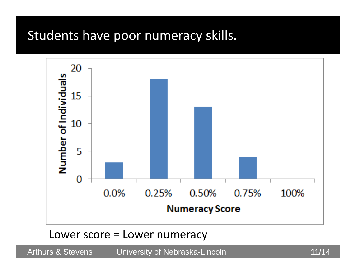#### Students have poor numeracy skills.

![](_page_18_Figure_1.jpeg)

#### Lower score <sup>=</sup> Lower numeracy

Arthurs & Stevens University of Nebraska-Lincoln **11/14**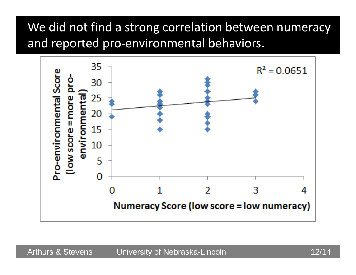#### We did not find <sup>a</sup> strong correlation between numeracy and reported pro‐environmental behaviors.

![](_page_19_Figure_1.jpeg)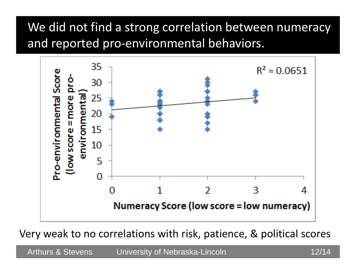#### We did not find <sup>a</sup> strong correlation between numeracy and reported pro‐environmental behaviors.

![](_page_20_Figure_1.jpeg)

Very weak to no correlations with risk, patience, & political scores

Arthurs & Stevens University of Nebraska-Lincoln **12/14**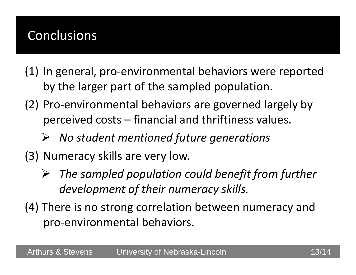#### Conclusions

- (1) In general, pro‐environmental behaviors were reported by the larger part of the sampled population.
- (2) Pro‐environmental behaviors are governed largely by perceived costs – financial and thriftiness values.
	- *No student mentioned future generations*
- (3) Numeracy skills are very low.
	- ➤ *The sampled population could benefit from further development of their numeracy skills.*
- (4) There is no strong correlation between numeracy and pro‐environmental behaviors.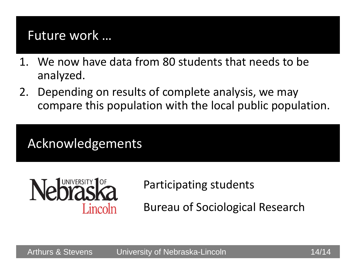#### Future work …

- 1. We now have data from 80 students that needs to be analyzed.
- 2. Depending on results of complete analysis, we may compare this population with the local public population.

#### Acknowledgements

![](_page_22_Picture_4.jpeg)

#### Participating students

Bureau of Sociological Research